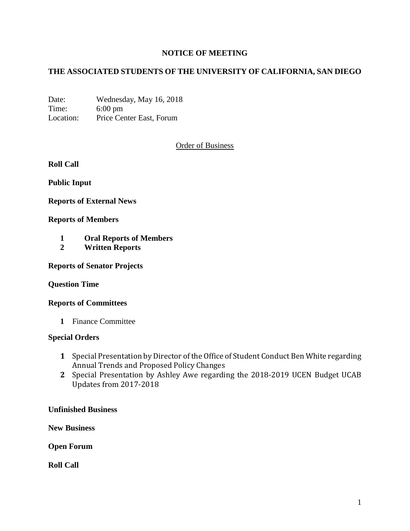# **NOTICE OF MEETING**

# **THE ASSOCIATED STUDENTS OF THE UNIVERSITY OF CALIFORNIA, SAN DIEGO**

Date: Wednesday, May 16, 2018 Time: 6:00 pm Location: Price Center East, Forum

## Order of Business

**Roll Call**

**Public Input**

**Reports of External News**

#### **Reports of Members**

- **1 Oral Reports of Members**
- **2 Written Reports**

**Reports of Senator Projects**

#### **Question Time**

#### **Reports of Committees**

**1** Finance Committee

#### **Special Orders**

- **1** Special Presentation by Director of the Office of Student Conduct Ben White regarding Annual Trends and Proposed Policy Changes
- **2** Special Presentation by Ashley Awe regarding the 2018-2019 UCEN Budget UCAB Updates from 2017-2018

### **Unfinished Business**

**New Business**

**Open Forum**

**Roll Call**